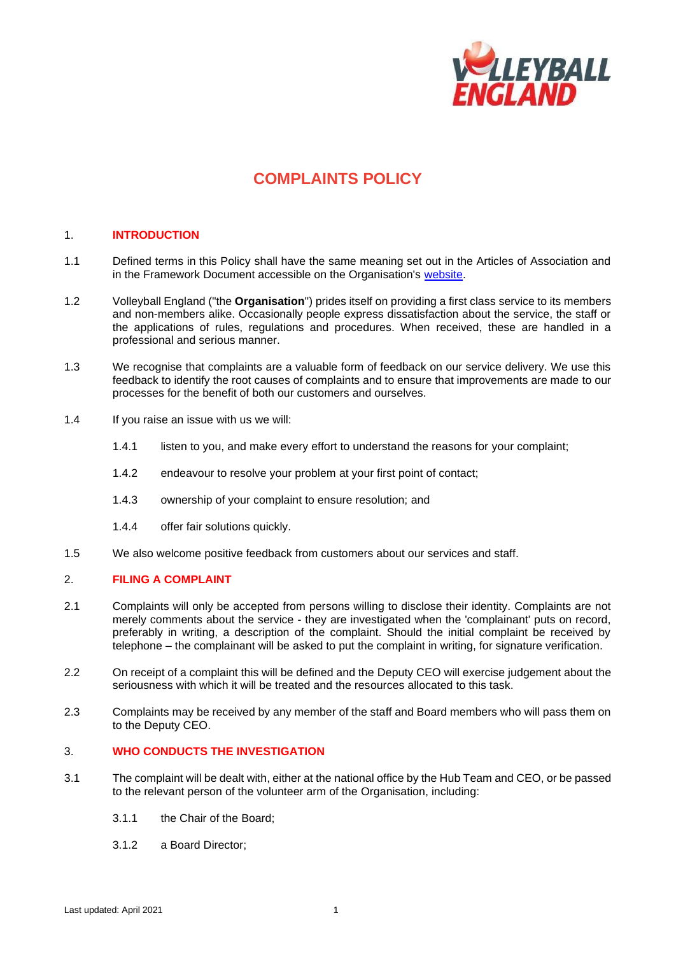

# **COMPLAINTS POLICY**

## 1. **INTRODUCTION**

- 1.1 Defined terms in this Policy shall have the same meaning set out in the Articles of Association and in the Framework Document accessible on the Organisation's [website.](http://www.volleyballengland.org/about_us/about_us_/governance)
- 1.2 Volleyball England ("the **Organisation**") prides itself on providing a first class service to its members and non-members alike. Occasionally people express dissatisfaction about the service, the staff or the applications of rules, regulations and procedures. When received, these are handled in a professional and serious manner.
- 1.3 We recognise that complaints are a valuable form of feedback on our service delivery. We use this feedback to identify the root causes of complaints and to ensure that improvements are made to our processes for the benefit of both our customers and ourselves.
- 1.4 If you raise an issue with us we will:
	- 1.4.1 listen to you, and make every effort to understand the reasons for your complaint;
	- 1.4.2 endeavour to resolve your problem at your first point of contact;
	- 1.4.3 ownership of your complaint to ensure resolution; and
	- 1.4.4 offer fair solutions quickly.
- 1.5 We also welcome positive feedback from customers about our services and staff.

### 2. **FILING A COMPLAINT**

- 2.1 Complaints will only be accepted from persons willing to disclose their identity. Complaints are not merely comments about the service - they are investigated when the 'complainant' puts on record, preferably in writing, a description of the complaint. Should the initial complaint be received by telephone – the complainant will be asked to put the complaint in writing, for signature verification.
- 2.2 On receipt of a complaint this will be defined and the Deputy CEO will exercise judgement about the seriousness with which it will be treated and the resources allocated to this task.
- 2.3 Complaints may be received by any member of the staff and Board members who will pass them on to the Deputy CEO.

## 3. **WHO CONDUCTS THE INVESTIGATION**

- 3.1 The complaint will be dealt with, either at the national office by the Hub Team and CEO, or be passed to the relevant person of the volunteer arm of the Organisation, including:
	- 3.1.1 the Chair of the Board;
	- 3.1.2 a Board Director;